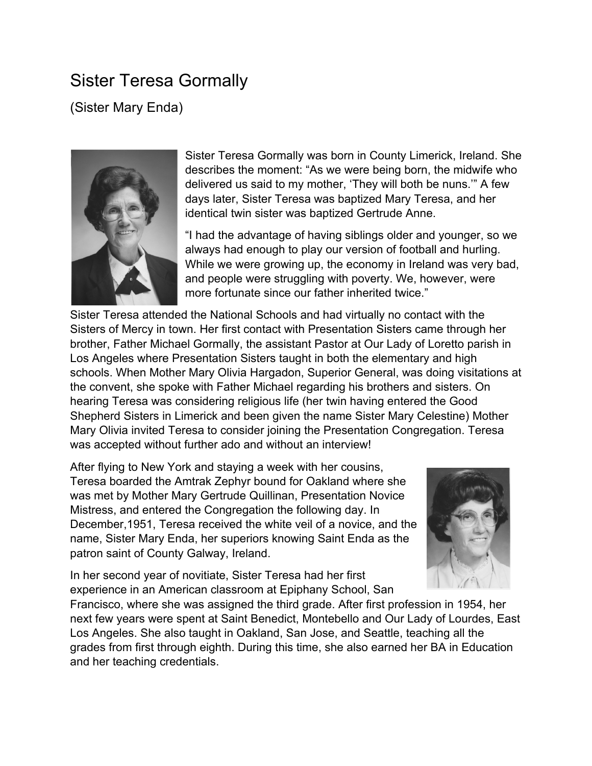## Sister Teresa Gormally

(Sister Mary Enda)



Sister Teresa Gormally was born in County Limerick, Ireland. She describes the moment: "As we were being born, the midwife who delivered us said to my mother, 'They will both be nuns.'" A few days later, Sister Teresa was baptized Mary Teresa, and her identical twin sister was baptized Gertrude Anne.

"I had the advantage of having siblings older and younger, so we always had enough to play our version of football and hurling. While we were growing up, the economy in Ireland was very bad, and people were struggling with poverty. We, however, were more fortunate since our father inherited twice."

Sister Teresa attended the National Schools and had virtually no contact with the Sisters of Mercy in town. Her first contact with Presentation Sisters came through her brother, Father Michael Gormally, the assistant Pastor at Our Lady of Loretto parish in Los Angeles where Presentation Sisters taught in both the elementary and high schools. When Mother Mary Olivia Hargadon, Superior General, was doing visitations at the convent, she spoke with Father Michael regarding his brothers and sisters. On hearing Teresa was considering religious life (her twin having entered the Good Shepherd Sisters in Limerick and been given the name Sister Mary Celestine) Mother Mary Olivia invited Teresa to consider joining the Presentation Congregation. Teresa was accepted without further ado and without an interview!

After flying to New York and staying a week with her cousins, Teresa boarded the Amtrak Zephyr bound for Oakland where she was met by Mother Mary Gertrude Quillinan, Presentation Novice Mistress, and entered the Congregation the following day. In December,1951, Teresa received the white veil of a novice, and the name, Sister Mary Enda, her superiors knowing Saint Enda as the patron saint of County Galway, Ireland.



In her second year of novitiate, Sister Teresa had her first experience in an American classroom at Epiphany School, San

Francisco, where she was assigned the third grade. After first profession in 1954, her next few years were spent at Saint Benedict, Montebello and Our Lady of Lourdes, East Los Angeles. She also taught in Oakland, San Jose, and Seattle, teaching all the grades from first through eighth. During this time, she also earned her BA in Education and her teaching credentials.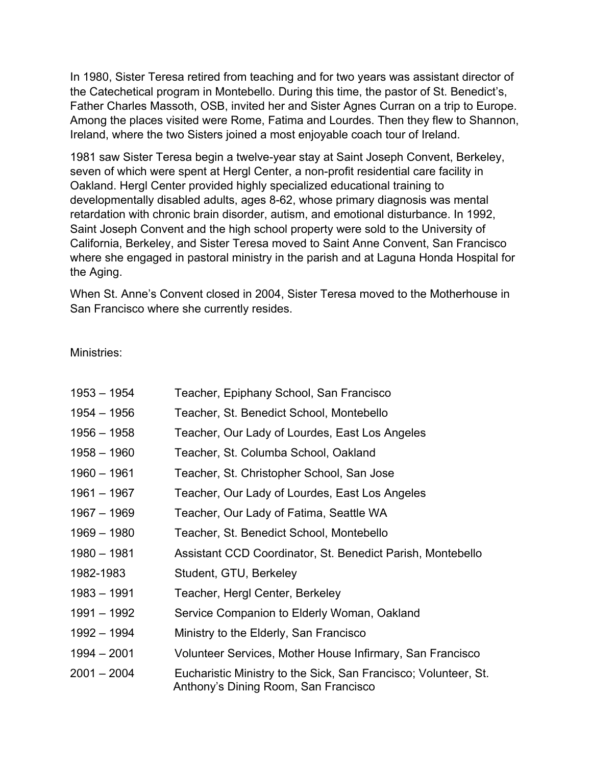In 1980, Sister Teresa retired from teaching and for two years was assistant director of the Catechetical program in Montebello. During this time, the pastor of St. Benedict's, Father Charles Massoth, OSB, invited her and Sister Agnes Curran on a trip to Europe. Among the places visited were Rome, Fatima and Lourdes. Then they flew to Shannon, Ireland, where the two Sisters joined a most enjoyable coach tour of Ireland.

1981 saw Sister Teresa begin a twelve-year stay at Saint Joseph Convent, Berkeley, seven of which were spent at Hergl Center, a non-profit residential care facility in Oakland. Hergl Center provided highly specialized educational training to developmentally disabled adults, ages 8-62, whose primary diagnosis was mental retardation with chronic brain disorder, autism, and emotional disturbance. In 1992, Saint Joseph Convent and the high school property were sold to the University of California, Berkeley, and Sister Teresa moved to Saint Anne Convent, San Francisco where she engaged in pastoral ministry in the parish and at Laguna Honda Hospital for the Aging.

When St. Anne's Convent closed in 2004, Sister Teresa moved to the Motherhouse in San Francisco where she currently resides.

Ministries:

| $1953 - 1954$ | Teacher, Epiphany School, San Francisco                                                                 |
|---------------|---------------------------------------------------------------------------------------------------------|
| $1954 - 1956$ | Teacher, St. Benedict School, Montebello                                                                |
| 1956 – 1958   | Teacher, Our Lady of Lourdes, East Los Angeles                                                          |
| $1958 - 1960$ | Teacher, St. Columba School, Oakland                                                                    |
| $1960 - 1961$ | Teacher, St. Christopher School, San Jose                                                               |
| 1961 - 1967   | Teacher, Our Lady of Lourdes, East Los Angeles                                                          |
| 1967 - 1969   | Teacher, Our Lady of Fatima, Seattle WA                                                                 |
| $1969 - 1980$ | Teacher, St. Benedict School, Montebello                                                                |
| $1980 - 1981$ | Assistant CCD Coordinator, St. Benedict Parish, Montebello                                              |
| 1982-1983     | Student, GTU, Berkeley                                                                                  |
| $1983 - 1991$ | Teacher, Hergl Center, Berkeley                                                                         |
| 1991 - 1992   | Service Companion to Elderly Woman, Oakland                                                             |
| 1992 - 1994   | Ministry to the Elderly, San Francisco                                                                  |
| $1994 - 2001$ | Volunteer Services, Mother House Infirmary, San Francisco                                               |
| $2001 - 2004$ | Eucharistic Ministry to the Sick, San Francisco; Volunteer, St.<br>Anthony's Dining Room, San Francisco |